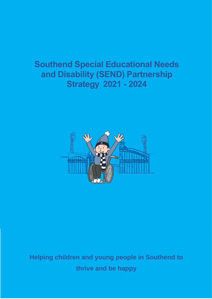# **Southend Special Educational Needs and Disability (SEND) Partnership Strategy 2021 - <sup>2024</sup>**



**Helping children and young people in Southend to thrive and be happy**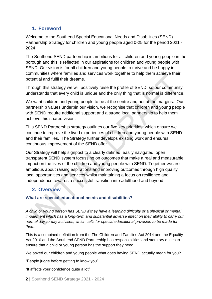# **1. Foreword**

Welcome to the Southend Special Educational Needs and Disabilities (SEND) Partnership Strategy for children and young people aged 0-25 for the period 2021 - 2024

The Southend SEND partnership is ambitious for all children and young people in the borough and this is reflected in our aspirations for children and young people with SEND. Our vision is for all children and young people to thrive and be happy in communities where families and services work together to help them achieve their potential and fulfil their dreams.

Through this strategy we will positively raise the profile of SEND, so our community understands that every child is unique and the only thing that is normal is difference.

We want children and young people to be at the centre and not at the margins. Our partnership values underpin our vision, we recognise that children and young people with SEND require additional support and a strong local partnership to help them achieve this shared vision.

This SEND Partnership strategy outlines our five key priorities, which ensure we continue to improve the lived experiences of children and young people with SEND and their families. The Strategy further develops existing work and ensures continuous improvement of the SEND offer.

Our Strategy will help signpost to a clearly defined, easily navigated, open transparent SEND system focussing on outcomes that make a real and measurable impact on the lives of the children and young people with SEND. Together we are ambitious about raising aspirations and improving outcomes through high quality local opportunities and services whilst maintaining a focus on resilience and independence towards a successful transition into adulthood and beyond.

# **2. Overview**

### **What are special educational needs and disabilities?**

*A child or young person has SEND if they have a learning difficulty or a physical or mental impairment which has a long-term and substantial adverse effect on their ability to carry out normal day-to-day activities, which calls for special educational provision to be made for them.*

This is a combined definition from the The Children and Families Act 2014 and the Equality Act 2010 and the Southend SEND Partnership has responsibilities and statutory duties to ensure that a child or young person has the support they need.

We asked our children and young people what does having SEND actually mean for you?

"People judge before getting to know you"

"It affects your confidence quite a lot"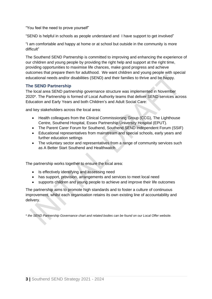"You feel the need to prove yourself"

"SEND is helpful in schools as people understand and I have support to get involved"

"I am comfortable and happy at home or at school but outside in the community is more difficult"

The Southend SEND Partnership is committed to improving and enhancing the experience of our children and young people by providing the right help and support at the right time, providing opportunities to maximise life chances, make good progress and achieve outcomes that prepare them for adulthood. We want children and young people with special educational needs and/or disabilities (SEND) and their families to thrive and be happy.

#### **The SEND Partnership**

The local area SEND partnership governance structure was implemented in November 2020\*. The Partnership is formed of Local Authority teams that deliver SEND services across Education and Early Years and both Children's and Adult Social Care:

and key stakeholders across the local area:

- Health colleagues from the Clinical Commissioning Group (CCG), The Lighthouse Centre, Southend Hospital, Essex Partnership University Hospital (EPUT).
- The Parent Carer Forum for Southend, Southend SEND Independent Forum (SSIF)
- Educational representatives from mainstream and special schools, early years and further education settings
- The voluntary sector and representatives from a range of community services such as A Better Start Southend and Healthwatch

The partnership works together to ensure the local area:

- Is effectively identifying and assessing need
- has support, provision, arrangements and services to meet local need
- supports children and young people to achieve and improve their life outcomes

The partnership aims to promote high standards and to foster a culture of continuous improvement, whilst each organisation retains its own existing line of accountability and delivery.

\* *the SEND Partnership Governance chart and related bodies can be found on our Local Offer website.*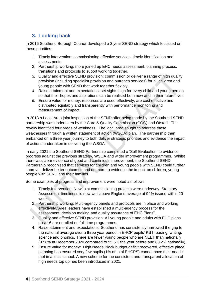# **3. Looking back**

In 2016 Southend Borough Council developed a 3 year SEND strategy which focussed on these priorities:

- 1. Timely intervention: commissioning effective services, timely identification and assessments.
- 2. Partnership working: more joined up EHC needs assessment, planning process, transitions and protocols to suport working together.
- *3.* Quality and effective SEND provision: commission or deliver a range of high quality provision (including specialist provision and outreach services) for all children and young people with SEND that work together flexibly.
- *4.* Raise attainment and expectations: set sights high for every child and young person so that their hopes and aspirations can be realised both now and in their future lives
- *5.* Ensure value for money: resources are used effectively, are cost effective and distributed equitably and transparently with performance monitoring and measurement of impact.

In 2018 a Local Area joint inspection of the SEND offer being made by the Southend SEND partnership was undertaken by the Care & Quality Commission (CQC) and Ofsted. The reveiw identified four areas of weakness. The local area sought to address these weaknesses through a written statement of action (WSOA) plan. The partnership then embarked on a three year journey to both deliver strategic priorities and evidence the impact of actions undertaken in delivering the WSOA.

In early 2021 the Southend SEND Partnership completed a 'Self-Evaluation' to evidence progress against the previous strategy, WSOA and wider improvement programmes. Whilst there was clear evidence of good and continious improvement, the Southend SEND Partnership recognised that services for children and young people with SEND could further improve, deliver better outcomes and do more to evidence the impact on children, young people with SEND and their families.

Some examples of progress and improvement were noted as follows;

- 1. Timely Intervention: New joint commissioning projects were underway. Statutory Assessment timeliness is now well above England average at 94% issued within 20 weeks
- 2. Partnership working: Multi-agency panels and protocols are in place and working effectively."Area leaders have established a multi-agency process for the assessment, decision making and quality assurance of EHC Plans".
- 3. Quality and effective SEND provision: All young people and adults with EHC plans post 16 are enrolled on full time programmes.
- 4. Raise attainment and expectations: Southend has consistently narrowed the gap to the national average over a three year period in EHCP pupils' KS1 reading, writing, science and phonics. There are fewer young people who are NEET than nationally (97.6% at December 2020 compared to 95.5% the year before and 88.2% nationally).
- 5. Ensure value for money: High Needs Block budget deficit recovered, effective place planning has ensured very few pupils (1% of total EHCPS) cannot have their needs met in a local school. A new scheme for the consistent and transparent allocation of high needs top up has been introduced in 2021.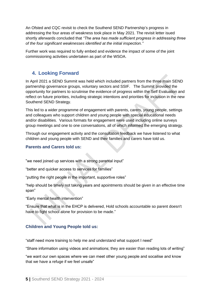An Ofsted and CQC [revisit](https://files.ofsted.gov.uk/v1/file/50164993) to check the Southend SEND Partnership's progress in addressing the four areas of weakness took place in May 2021. The revisit letter isued shortly aferwards concluded that *"The area has made sufficient progress in addressing three of the four significant weaknesses identified at the initial inspection."*

Further work was required to fully embed and evidence the impact of some of the joint commissioning activities undertaken as part of the WSOA.

# **4. Looking Forward**

In April 2021 a SEND Summit was held which included partners from the three main SEND partnership governance groups, voluntary sectors and SSIF. The Summit provided the opportunity for partners to scrutinise the evidence of progress within the Self Evaluation and reflect on future priorities, including strategic intentions and priorities for inclusion in the new Southend SEND Strategy.

This led to a wider programme of engagement with parents, carers, young people, settings and colleagues who support children and young people with special educational needs and/or disabilities. Various formats for engagement were used including online surveys group meetings and one to one conversations, all of which informed the emerging strategy.

Through our engagement activity and the consultation feedback we have listened to what children and young people with SEND and their families and carers have told us.

### **Parents and Carers told us:**

"we need joined up services with a strong parental input"

"better and quicker access to services for families"

"putting the right people in the important, supportive roles"

"help should be timely not taking years and apointments should be given in an effective time span"

"Early mental health intervention"

"Ensure that what is in the EHCP is delivered, Hold schools accountable so parent doesn't have to fight school alone for provision to be made."

### **Children and Young People told us:**

"staff need more training to help me and understand what support I need"

"Share information using videos and animations; they are easier than reading lots of writing"

"we want our own spaces where we can meet other young people and socailise and know that we have a refuge if we feel unsafe"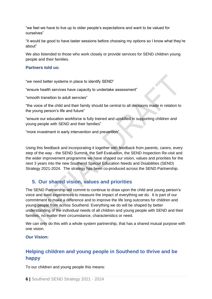"we feel we have to live up to older people's expectations and want to be valued for ourselves"

"it would be good to have taster sessions before choosing my options so I know what they're about"

We also listended to those who work closely or provide services for SEND children young people and their families.

#### **Partners told us:**

"we need better systems in place to identify SEND"

"ensure health services have capacity to undertake assessment"

"smooth transition to adult servcies"

"the voice of the child and their family should be central to all decisions made in relation to the young person's life and future"

"ensure our education workforce is fully trained and upskilled in supporting children and young people with SEND and their families"

"more investment in early intervention and prevention"

Using this feedback and incorporating it together with feedback from parents, carers, every step of the way - the SEND Summit, the Self Evaluation, the SEND Inspection Re-visit and the wider improvement programme we have shaped our vision, values and priorities for the next 3 years into the new Southend Special Education Needs and Disabilities (SEND) Strategy 2021-2024. The strategy has been co-produced across the SEND Partnership.

# **5. Our shared vision, values and priorities**

The SEND Partnership will commit to continue to draw upon the child and young person's voice and lived experiences to measure the impact of everything we do. It is part of our commitment to make a difference and to improve the life long outcomes for children and young people from across Southend. Everything we do will be shaped by better understanding of the individual needs of all children and young people with SEND and their families, no matter their circumstance, characteristics or need.

We can only do this with a whole system partnership, that has a shared mutual purpose with one vision.

### **Our Vision:**

# **Helping children and young people in Southend to thrive and be happy**

To our children and young people this means: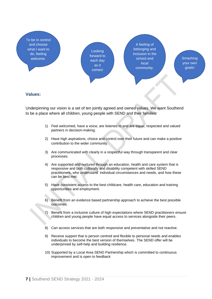

#### **Values:**

Underpinning our vision is a set of ten jointly agreed and owned values. We want Southend to be a place where all children, young people with SEND and their families:

- 1) Feel welcomed, have a voice, are listened to and are equal, respected and valued partners in decision-making.
- 2) Have high aspirations, choice and control over their future and can make a positive contribution to the wider community.
- 3) Are communicated with clearly in a respectful way through transparent and clear processes.
- 4) Are supported and nurtured through an education, health and care system that is responsive and both culturally and disability competent with skilled SEND practitioners, who understand individual circumstances and needs, and how these can be best met.
- 5) Have consistent access to the best childcare, health care, education and training opportunities and employment.
- 6) Benefit from an evidence based partnership approach to achieve the best possible outcomes.
- Benefit from a inclusive culture of high expectations where SEND practitioners ensure children and young people have equal access to services alongside their peers.
- 8) Can access services that are both responsive and preventative and not reactive.
- 9) Receive support that is person centred and flexible to personal needs and enables individuals to become the best version of themselves. The SEND offer will be underpinned by self-help and building resilience.
- 10) Supported by a Local Area SEND Partnership which is committed to continuous improvement and is open to feedback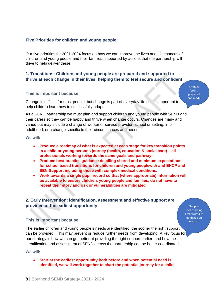### **Five Priorities for children and young people:**

Our five priorities for 2021-2024 focus on how we can improve the lives and life chances of children and young people and their families, supported by actions that the partnership will drive to help deliver these.

### **1. Transitions: Children and young people are prepared and supported to thrive at each change in their lives, helping them to feel secure and confident**

#### **This is important because:**

It means feeling prepared and ready

Change is difficult for most people, but change is part of everyday life so it is important to help children learn how to successfully adapt.

As a SEND partnership we must plan and support children and young people with SEND and their carers so they can be happy and thrive when change occurs. Changes are many and varied but may include a change of worker or service provider, school or setting, into adulthood, or a change specific to their circumstances and needs.

**We will:**

- **Produce a roadmap of what is expected at each stage for key transition points in a child or young persons journey (health, education & social care) – all professionals working towards the same goals and pathway.**
- **Produce best practice guidance detailing shared and minimum expectations for school based transitions for children and young peoplewith and EHCP and SEN Support including those with complex medical conditions.**
- **Work towards a single pupil record so that (where appropriate) information will be available to ensure children, young people and families, do not have to repeat their story and risk or vulnerabilities are mitigated**

### **2. Early Intervention: identification, assessment and effective support are provided at the earliest opportunity**

**Support** means being empowered to do things on my own

#### **This is important because:**

The earlier children and young people's needs are identified, the sooner the right support can be provided. This may prevent or reduce further needs from developing. A key focus for our strategy is how we can get better at providing the right support earlier, and how the identification and assessment of SEND across the partnership can be better coordinated.

**We will:**

• **Start at the earliest opportunity both before and when potential need is identified, we will work together to chart the potential journey for a child.**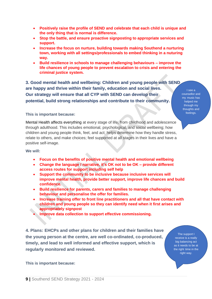- **Positively raise the profile of SEND and celebrate that each child is unique and the only thing that is normal is difference.**
- **Stop the battle, and ensure proactive signposting to appropriate services and support.**
- **Increase the focus on nurture, building towards making Southend a nurturing town, working with all settings/professionals to embed thinking in a nuturing way.**
- **Build resilience in schools to manage challenging behaviours – improve the life chances of young people to prevent escalation to crisis and entering the criminal justice system.**

**3. Good mental health and wellbeing: Children and young people with SEND are happy and thrive within their family, education and social lives. Our strategy will ensure that all CYP with SEND can develop their potential, build strong relationships and contribute to their community.**

I see a counsellor and my music has helped me through my thoughts and feelings.

#### **This is important because:**

Mental Health affects everything at every stage of life, from childhood and adolescence through adulthood. This includes emotional, psychological, and social wellbeing; how children and young people think, feel, and act; helps determine how they handle stress, relate to others, and make choices; feel supported at all stages in their lives and have a positive self-image.

**We will:**

- **Focus on the benefits of positive mental health and emotional wellbeing**
- **Change the language / narrative, it's OK not to be OK – provide different access routes for support including self help**
- **Support the community to be inclusive because inclusive services will improve mental health, provide better support, improve life chances and build confidence.**
- **Build resilience for parents, carers and families to manage challenging behaviour and personalise the offer for families.**
- **Increase training offer to front line practitioners and all that have contact with children and young people so they can identify need when it first arises and appropriately signpost**
- **Improve data collection to support effective commissioning.**

**4. Plans: EHCPs and other plans for children and their families have the young person at the centre, are well co-ordinated, co-produced, timely, and lead to well informed and effective support, which is regularly monitored and reviewed.**

The support I receive is a really big balancing act as it needs to be at the right time in the right way.

**This is important because:**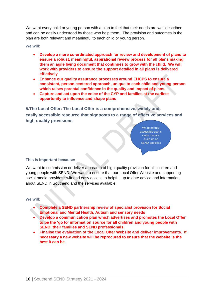We want every child or young person with a plan to feel that their needs are well described and can be easily understood by those who help them. The provision and outcomes in the plan are both relevant and meaningful to each child or young person.

**We will:**

- **Develop a more co-ordinated approach for review and development of plans to ensure a robust, meaningful, aspirational review process for all plans making them an agile living document that continues to grow with the child. We will work with providers to ensure the support detailed in all plans is delivered effictively**
- **Enhance our quality assurance processes around EHCPS to ensure a consistent, person centered approach, unique to each child and young person which raises parental confidence in the quality and impact of plans,**
- **Capture and act upon the voice of the CYP and families at the earliest opportunity to influence and shape plans**

**5.The Local Offer: The Local Offer is a comprehensive, widely and** 

**easily accessible resource that signposts to a range of effective services and high-quality provisions** 

> We need fully accessible sports clubs that are clued up on SEND specifics

#### **This is important because:**

We want to commission or deliver a breadth of high quality provision for all children and young people with SEND. We want to ensure that our Local Offer Website and supporting social media provides swift and easy access to helpful, up to date advice and information about SEND in Southend and the services available.

#### **We will:**

- **Complete a SEND partnership review of specialist provision for Social Emotional and Mental Health, Autism and sensory needs**
- **Develop a communication plan which advertises and promotes the Local Offer to be the 'go to' information source for all children and young people with SEND, their families and SEND professionals.**
- **Finalise the evaluation of the Local Offer Website and deliver improvements. If necessary a new website will be reprocured to ensure that the website is the best it can be.**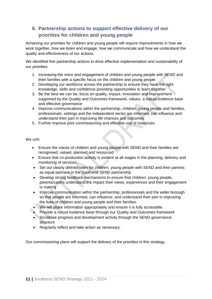# **6. Partnership actions to support effective delivery of our priorities for children and young people**

Achieving our priorities for children and young people will require improvements in how we work together, how we listen and engage, how we communicate and how we understand the quality and effectiveness of our actions.

We identified five partnership actions to drive effective implementation and sustainability of our priorities:

- 1. Increasing the voice and engagement of children and young people with SEND and their families with a specific focus on the children and young people
- 2. Developing our workforce across the partnership to ensure they have the right knowledge, skills and confidence providing opportunities to learn together
- 3. Be the best we can be; focus on quality, impact, innovation and improvement supported by the Quality and Outcomes framework, values, a robust evidence base and effective governance
- 4. Improve communications within the partnership, children, young people and families, professionals, settings and the independent sector are informed, can influence and understand their part in improving life chances and outcomes
- 5. Further improve joint commissioning and effective use of resources

#### **We will:**

- Ensure the voices of children and young people with SEND and their families are recognised, valued, planned and resourced
- Ensure that co-production activity is evident at all stages in the planning, delivery and monitoring of services.
- Set out clearly defined roles for children, young people with SEND and their parents as equal partners in the Southend SEND partnership
- Develop strong feedback mechanisms to ensure that children, young people, parents/carers understand the impact their views, experiences and their engagement is making
- Improve communication within the partnership, professionals and the wider borough so that people are informed, can influence, and understand their part in improving the lives of children and young people and their families.
- We will share information appropriately and ensure it is fully accessible.
- Provide a robust evidence base through our Quality and Outcomes framework
- Scrutinise progress and development activity through the SEND governance structure
- Regularly reflect and take action as necessary.

Our commissioning plans will support the delivery of the priorities in this strategy.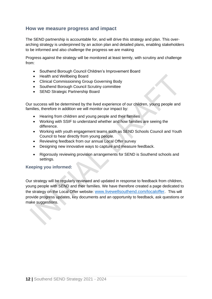# **How we measure progress and impact**

The SEND partnership is accountable for, and will drive this strategy and plan. This overarching strategy is underpinned by an action plan and detailed plans, enabling stakeholders to be informed and also challenge the progress we are making

Progress against the strategy will be monitored at least termly, with scrutiny and challenge from:

- Southend Borough Council Children's Improvement Board
- Health and Wellbeing Board
- Clinical Commissioining Group Governing Body
- Southend Borough Council Scrutiny committee
- SEND Strategic Partnership Board

Our success will be determined by the lived experience of our children, young people and families, therefore in addition we will monitor our impact by:

- Hearing from children and young people and their families
- Working with SSIF to understand whether and how families are seeing the difference.
- Working with youth engagement teams such as SEND Schools Council and Youth Council to hear directly from young people.
- Reviewing feedback from our annual Local Offer survey
- Designing new innovative ways to capture and measure feedback.
- Rigorously reviewing provision arrangements for SEND is Southend schools and settings.

### **Keeping you informed:**

Our strategy will be regularly reviewed and updated in response to feedback from children, young people with SEND and their families. We have therefore created a page dedicated to the strategy on the Local Offer website: [www.livewellsouthend.com/localoffer.](http://www.livewellsouthend.com/localoffer) This will provide progress updates, key documents and an opportunity to feedback, ask questions or make suggestions.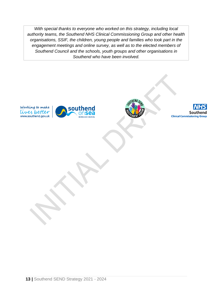*With special thanks to everyone who worked on this strategy, including local authority teams, the Southend NHS Clinical Commissioning Group and other health organisations, SSIF, the children, young people and families who took part in the engagement meetings and online survey, as well as to the elected members of Southend Council and the schools, youth groups and other organisations in Southend who have been involved.*